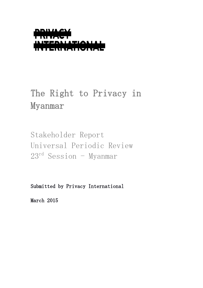

# The Right to Privacy in Myanmar

Stakeholder Report Universal Periodic Review  $23<sup>rd</sup>$  Session - Myanmar

Submitted by Privacy International

March 2015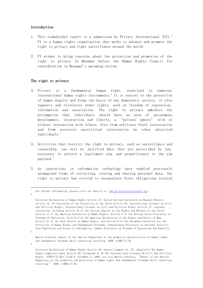## Introduction

- 1. This stakeholder report is a submission by Privacy International  $(PI)$ .<sup>1</sup> PI is a human rights organisation that works to advance and promote the right to privacy and fight surveillance around the world.
- 2. PI wishes to bring concerns about the protection and promotion of the right to privacy in Myanmar before the Human Rights Council for consideration in Myanmar's upcoming review.

## The right to privacy

- 3. Privacy is a fundamental human right, enshrined in numerous international human rights instruments. $2$  It is central to the protection of human dignity and forms the basis of any democratic society. It also supports and reinforces other rights, such as freedom of expression, information and association. The right to privacy embodies the presumption that individuals should have an area of autonomous development, interaction and liberty, a "private sphere" with or without interaction with others, free from arbitrary State intervention and from excessive unsolicited intervention by other uninvited individuals.<sup>3</sup>
- 4. Activities that restrict the right to privacy, such as surveillance and censorship, can only be justified when they are prescribed by law, necessary to achieve a legitimate aim, and proportionate to the aim pursued.<sup>4</sup>
- 5. As innovations in information technology have enabled previously unimagined forms of collecting, storing and sharing personal data, the right to privacy has evolved to encapsulate State obligations related

3

<u>.</u>

<sup>1</sup> For further information, please visit our website at: [www.privacyinternational.org](http://www.privacyinternational.org/)  $\circ$ 

Universal Declaration of Human Rights Article 12, United Nations Convention on Migrant Workers Article 14, UN Convention of the Protection of the Child Article 16, International Covenant on Civil and Political Rights, International Covenant on Civil and Political Rights Article 17; regional conventions including Article 10 of the African Charter on the Rights and Welfare of the Child, Article 11 of the American Convention on Human Rights, Article 4 of the African Union Principles on Freedom of Expression, Article 5 of the American Declaration of the Rights and Duties of Man, Article 21 of the Arab Charter on Human Rights, and Article 8 of the European Convention for the Protection of Human Rights and Fundamental Freedoms; Johannesburg Principles on National Security, Free Expression and Access to Information, Camden Principles on Freedom of Expression and Equality.

Martin Scheinin, Report of the Special Rapporteur on the promotion and protection of human rights and fundamental freedoms while countering terrorism, 2009, A/HRC/17/34

<sup>4</sup>

Universal Declaration of Human Rights Article 29; General Comment No. 27, Adopted by The Human Rights Committee Under Article 40, Paragraph 4, Of The International Covenant On Civil And Political Rights, CCPR/C/21/Rev.1/Add.9, November 2, 1999; see also Martin Scheinin, "Report of the Special Rapporteur on the promotion and protection of human rights and fundamental freedoms while countering terrorism," 2009, A/HRC/17/34.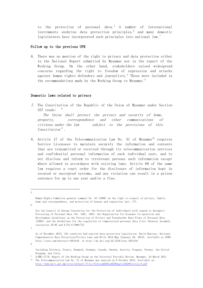to the protection of personal data.<sup>5</sup> A number of international instruments enshrine data protection principles, $^6$  and many domestic legislatures have incorporated such principles into national law.<sup>7</sup>

### Follow up to the previous UPR

6. There was no mention of the right to privacy and data protection either in the National Report submitted by Myanmar nor in the report of the Working Group. On the other hand, stakeholders raised widespread concerns regarding the right to freedom of expression and attacks against human rights defenders and journalists.<sup>8</sup> These were included in the recommendations made by the Working Group to Myanmar.<sup>9</sup>

## Domestic laws related to privacy

7. The Constitution of the Republic of the Union of Myanmar under Section  $357$  reads:

The Union shall protect the privacy and security of home, property, correspondence and other communications of citizens under the law subject to the provisions of this Constitution".

8. Article 17 of the Telecommunication Law No. 31 of Myanmar<sup>10</sup> requires Service Licensees to maintain securely the information and contents that are transmitted or received through its telecommunication services and confidential personal information of each individual user, and to not disclose and inform to irrelevant persons such information except where allowed in accordance with existing laws. Article 69 of the same law requires a court order for the disclosure of information kept in secured or encrypted systems, and any violation can result in a prison sentence for up to one year and/or a fine.

<u>.</u> 5

7

Human Rights Committee general comment No. 16 (1988) on the right to respect of privacy, family, home and correspondence, and protection of honour and reputation (art. 17).

<sup>6</sup>

See the Council of Europe Convention for the Protection of Individuals with regard to Automatic Processing of Personal Data (No. 108), 1981; the Organization for Economic Co-operation and Development Guidelines on the Protection of Privacy and Transborder Data Flows of Personal Data (1980); and the Guidelines for the regulation of computerized personal data files (General Assembly resolution 45/95 and E/CN.4/1990/72)

As of December 2013, 101 countries had enacted data protection legislation: David Banisar, National Comprehensive Data Protection/Privacy Laws and Bills 2014 Map (January 28, 2014). Available at SSRN: <http://ssrn.com/abstract=1951416>or<http://dx.doi.org/10.2139/ssrn.1951416>

<sup>8</sup>

Including Slovenia, France, Denmark, Germany, Canada, Sweden, Austria, Uruguay, Norway, the United Kingdom, and Italy.

<sup>9</sup> A/HRC/17/9, Report of the Working Group on the Universal Periodic Review, Myanmar, 24 March 2011  $10$  The Telecommunication Law No. 31 of Myanmar was enacted on 8 October 2013. Available at:

[http://www.mcit.gov.mm/sites/default/files/Telecom%20Law%20English%20Version\\_0.pdf](http://www.mcit.gov.mm/sites/default/files/Telecom%20Law%20English%20Version_0.pdf)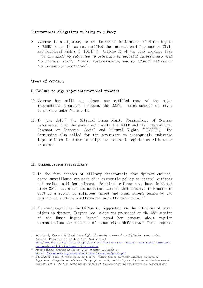# International obligations relating to privacy

9. Myanmar is a signatory to the Universal Declaration of Human Rights ('UDHR') but it has not ratified the International Covenant on Civil and Political Rights ('ICCPR'). Article 12 of the UDHR provides that "no one shall be subjected to arbitrary or unlawful interference with his privacy, family, home or correspondence, nor to unlawful attacks on his honour and reputation".

# Areas of concern

# I. Failure to sign major international treaties

- 10. Myanmar has still not signed nor ratified many of the major international treaties, including the ICCPR, which upholds the right to privacy under Article 17.
- 11. In June 2013,<sup>11</sup> the National Human Rights Commissioner of Myanmar recommended that the government ratify the ICCPR and the International Covenant on Economic, Social and Cultural Rights ('ICESCR'). The Commission also called for the government to subsequently undertake legal reforms in order to align its national legislation with these treaties.

# II. Communication surveillance

<u>.</u>

- 12. In the five decades of military dictatorship that Myanmar endured, state surveillance was part of a systematic policy to control citizens and monitor political dissent. Political reforms have been initiated since 2010, but since the political turmoil that occurred in Myanmar in 2013 as a result of religious unrest and legal reform pushed by the opposition, state surveillance has actually intensified.<sup>12</sup>
- 13. A recent report by the UN Special Rapporteur on the situation of human rights in Myanmar, Yanghee Lee, which was presented at the  $28<sup>th</sup>$  session of the Human Rights Council noted her concern about regular communications surveillance of human right defenders.  $^{13}$  These reports

 $11$  Article 19, Myanmar: National Human Rights Commission recommends ratifying key human rights treaties, Press release, 21 June 2013. Available at: [http://www.article19.org/resources.php/resource/37119/en/myanmar:-national-human-rights-commission-](http://www.article19.org/resources.php/resource/37119/en/myanmar:-national-human-rights-commission-recommends-ratifying-key-human-rights-treaties)

[recommends-ratifying-key-human-rights-treaties](http://www.article19.org/resources.php/resource/37119/en/myanmar:-national-human-rights-commission-recommends-ratifying-key-human-rights-treaties) <sup>12</sup> Freedom House, *Freedom on the Net 2014: Myanmar*. Available at: <https://freedomhouse.org/sites/default/files/resources/Myanmar.pdf>

 $13$   $A/HRC/28/72$ , para. 9, which reads as follows, "Human rights defenders informed the Special Rapporteur of regular surveillance through phone calls, monitoring and inquiries of their movements and activities. She highlights the obligation of the Government to demonstrate the necessity and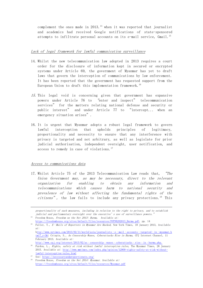complement the ones made in  $2013$ .<sup>14</sup> when it was reported that journalist and academics had received Google notifications of state-sponsored attempts to infiltrate personal accounts on its e-mail service, Gmail.<sup>15</sup>

## Lack of legal framework for lawful communication surveillance

- 14. Whilst the new telecommunication law adopted in 2013 requires a court order for the disclosure of information kept in secured or encrypted systems under Article 69, the government of Myanmar has yet to draft laws that govern the interception of communications by law enforcement. It has been reported that the government has requested support from the European Union to draft this implementation framework.<sup>16</sup>
- 15. This legal void is concerning given that government has expansive powers under Article 76 to "enter and inspect" telecommunication services" for the matters relating national defense and security or public interest" and under Article 77 to "intercept... when an emergency situation arises".
- 16. It is urgent that Myanmar adopts a robust legal framework to govern lawful interception that upholds principles of legitimacy, proportionality and necessity to ensure that any interference with privacy is targeted and not arbitrary, as well as legislate for prior judicial authorisation, independent oversight, user notification, and access to remedy in case of violations.<sup>17</sup>

### Access to communications data

<u>.</u>

17. Whilst Article 75 of the 2013 Telecommunication Law reads that, "The Union Government may, as may be necessary, direct to the relevant organization for enabling to obtain any information and telecommunications which causes harm to national security and prevalence of law without affecting the fundamental rights of the *citizens*", the law fails to include any privacy protections.<sup>18</sup> This

proportionality of such measures, including in relation to the right to privacy, and to establish judicial and parliamentary oversight over the executive's use of surveillance powers."  $^{14}$  Freedom House, *Freedom on the Net 2013: Burma*. Available at:

[https://freedomhouse.org/sites/default/files/resources/FOTN%202013\\_Burma.pdf,](https://freedomhouse.org/sites/default/files/resources/FOTN%202013_Burma.pdf) pp. 14

<sup>&</sup>lt;sup>15</sup> Fuller, T., *E*–*Mails of Reporters in Myanmar Are Hacked*, New York Times, 10 January 2013, Available at:

h[ttp://www.nytimes.com/2013/02/11/world/asia/journalists‐e‐mail‐accounts‐targeted‐in‐myanmar.h](ttp://www.nytimes.com/2013/02/11/world/asia/journalists‐e‐mail‐accounts‐targeted‐in‐myanmar.html?_r=3&) [tml?\\_r=3&;](ttp://www.nytimes.com/2013/02/11/world/asia/journalists‐e‐mail‐accounts‐targeted‐in‐myanmar.html?_r=3&) Crispin, S., As Censorship Wanes, Cyberattacks Rise in Burma, CPJ Internet Channel, 11 February 2013. Available at:

[http://www.cpj.org/internet/2013/02/as‐censorship‐wanes‐cyberattacks‐rise‐in‐b](http://www.cpj.org/internet/2013/02/as‐censorship‐wanes‐cyberattacks‐rise‐in‐burma.php.)urma.php.

<sup>&</sup>lt;sup>16</sup> Purdon, L., *Rights, safety at risk without lawful interception rules*, The Myanmar Times, 26 January 2015. Available at: [http://www.mmtimes.com/index.php/opinion/12900-rights-safety-at-risk-without](http://www.mmtimes.com/index.php/opinion/12900-rights-safety-at-risk-without-lawful-interception-rules.html)[lawful-interception-rules.html](http://www.mmtimes.com/index.php/opinion/12900-rights-safety-at-risk-without-lawful-interception-rules.html)

<sup>17</sup> See:<https://necessaryandproportionate.org/>

<sup>&</sup>lt;sup>18</sup> Freedom House, *Freedom on the Net 2014: Myanmar*. Available at: <https://freedomhouse.org/sites/default/files/resources/Myanmar.pdf>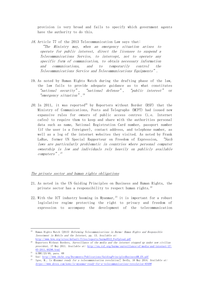provision is very broad and fails to specify which government agents have the authority to do this.

- 18. Article 77 of the 2013 Telecommunication Law says that: "The Ministry may, when an emergency situation arises to operate for public interest, direct the licensee to suspend a Telecommunications Service, to intercept, not to operate any specific form of communication, to obtain necessary information and communications, and to temporarily control the Telecommunications Service and Telecommunications Equipments".
- 19. As noted by Human Rights Watch during the drafting phase of the law, the law fails to provide adequate guidance as to what constitutes "national security", "national defense", "public interest" or "emergency situation". 19
- 20. In 2011, it was reported<sup>20</sup> by Reporters without Border (RSF) that the Ministry of Communications, Posts and Telegraphs (MCPT) had issued new expansive rules for owners of public access centres (i.e. Internet cafes) to require them to keep and share with the authorities personal data such as name, National Registration Card number, passport number (if the user is a foreigner), contact address, and telephone number, as well as a log of the internet websites they visited. As noted by Frank LaRue, former UN Special Rapporteur on Freedom of Expression, "Such laws are particularly problematic in countries where personal computer ownership is low and individuals rely heavily on publicly available computers". 21

## The private sector and human rights obligations

- 21. As noted in the UN Guiding Principles on Business and Human Rights, the private sector has a responsibility to respect human rights.<sup>22</sup>
- 22. With the ICT industry booming in Myanmar,  $23$  it is important for a robust legislative regime protecting the right to privacy and freedom of expression to accompany the development of the telecommunication

<u>.</u>

<sup>&</sup>lt;sup>19</sup> Human Rights Watch (2013) Reforming Telecommunications in Burma: Human Rights and Responsible Investment in Mobile and the Internet, pp. 13. Available at: [http://www.hrw.org/sites/default/files/reports/burma0512\\_ForUpload.pdf](http://www.hrw.org/sites/default/files/reports/burma0512_ForUpload.pdf)

<sup>&</sup>lt;sup>20</sup> Reporters Without Borders, Surveillance of the media and the internet stepped up under new civilian president, 17 May 2011. Available at: [http://en.rsf.org/burma-surveillance-of-media-and-internet-17-](http://en.rsf.org/burma-surveillance-of-media-and-internet-17-05-2011,40296.html) [05-2011,40296.html](http://en.rsf.org/burma-surveillance-of-media-and-internet-17-05-2011,40296.html)

<sup>&</sup>lt;sup>21</sup> A/HRC/23/40, para. 68

<sup>&</sup>lt;sup>22</sup> See: [http://www.ohchr.org/Documents/Publications/GuidingPrinciplesBusinessHR\\_EN.pdf](http://www.ohchr.org/Documents/Publications/GuidingPrinciplesBusinessHR_EN.pdf)

<sup>&</sup>lt;sup>23</sup> Igoe, M., Is Myanmar ready for a telecommunication revolution?, DevEx, 16 May 2014. Available at: <https://www.devex.com/news/is-myanmar-ready-for-a-telecommunications-revolution-83498>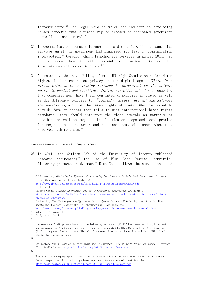infrastructure.<sup>24</sup> The legal void in which the industry is developing raises concerns that citizens may be exposed to increased government surveillance and control.<sup>25</sup>

- 23. Telecommunications company Telenor has said that it will not launch its services until the government had finalised its laws on communication interception.<sup>26</sup> Ooredoo, which launched its services in August 2014, has not announced how it will respond to government request for interferences with communications.<sup>27</sup>
- 24. As noted by the Navi Pillay, former UN High Commissioner for Human Rights, in her report on privacy in the digital age, "There is a strong evidence of a growing reliance by Government on the private sector to conduct and facilitate digital surveillance".<sup>28</sup> She requested that companies must have their own internal policies in place, as well as due diligence policies to "*identify*, assess, prevent and mitigate any adverse impact" on the human rights of users. When requested to provide data or access that fails to meet international human rights standards, they should interpret the these demands as narrowly as possible, as well as request clarification on scope and legal premise for request, a court order and be transparent with users when they received such requests.<sup>29</sup>

## Surveillance and monitoring systems

25. In 2011, the Citizen Lab of the University of Toronto published research documenting<sup>30</sup> the use of Blue Coat Systems' commercial filtering products in Myanmar.<sup>31</sup> Blue Coat<sup>32</sup> allows the surveillance and

<u>.</u>

32

<sup>24</sup> Calderaro, A., Digitalizing Myanmar: Connectivity Developments in Political Transition, Internet Policy Observatory, pp. 3. Available at:

<http://www.global.asc.upenn.edu/app/uploads/2014/12/Digitalizing-Myanmar.pdf>  $25$  Ibid, pp. 3

<sup>&</sup>lt;sup>26</sup> Telenor Group, *Telenor in Myanmar: Privacy & Freedom of Expression*. Available at: [http://www.telenor.com/media/in-focus/telenor-in-myanmar/sustainable-business-in-myanmar/privacy](http://www.telenor.com/media/in-focus/telenor-in-myanmar/sustainable-business-in-myanmar/privacy-freedom-of-expression/)[freedom-of-expression/](http://www.telenor.com/media/in-focus/telenor-in-myanmar/sustainable-business-in-myanmar/privacy-freedom-of-expression/)

 $27$  Purdon, L., The Challenges and Opportunities of Myanmar's new ICT Networks, Institute for Human Rights and Business, Commentary, 16 September 2014. Available at:

<http://www.ihrb.org/commentary/challenges-and-opportunities-myanmar-new-ict-networks.html>

 $28 \frac{\text{A/HRC}}{27/37}$ , para. 42

<sup>29</sup> Ibid, para. 43-45

<sup>30</sup>

The research findings were based on the following evidence, (i) ISP hostnames matching Blue Coat add-on names, (ii) network error pages found were generated by Blue Coat's ProxySG system, and (iii) strong correlation between Blue Coat's categorization of these URLs and those URLs found blocked by the researchers.

<sup>31</sup>

CitizenLab, Behind Blue Coat: Investigations of commercial filtering in Syria and Burma, 9 November 2011. Available at:<https://citizenlab.org/2011/11/behind-blue-coat/>

Blue Coat is a company specialised in online security but it is well know for having sold Deep Packet Inspection (DPI) technology based equipment to an array of countries. See: <https://citizenlab.org/wp-content/uploads/2013/01/Planet-Blue-Coat.pdf>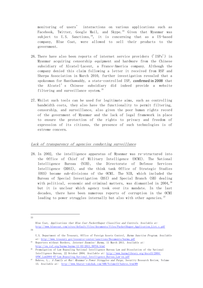monitoring of users' interactions on various applications such as Facebook, Twitter, Google Mail, and Skype.<sup>33</sup> Given that Myanmar was subject to U.S. Sanctions,  $34$ , it is concerning that as a US-based company, Blue Coat, were allowed to sell their products to the government.

- 26. There have also been reports of internet service providers ('ISPs') in Myanmar acquiring censorship equipment and hardware from the Chinese subsidiary of Alcatel-Lucent, a Franco-America company. Although the company denied this claim following a letter it received from RSF and Sherpa Association in March 2010, further investigation revealed that a spokesman for Hanthawaddy, a state-controlled ISP, confirmed in 2008 that the Alcatel's Chinese subsidiary did indeed provide a website filtering and surveillance system.<sup>35</sup>
- 27. Whilst such tools can be used for legitimate aims, such as controlling bandwidth costs, they also have the functionality to permit filtering, censorship, and surveillance, also given the poor human rights record of the government of Myanmar and the lack of legal framework in place to ensure the protection of the rights to privacy and freedom of expression of its citizens, the presence of such technologies is of extreme concern.

## Lack of transparency of agencies conducting surveillance

28. In 2002, the intelligence apparatus of Myanmar was re-structured into the Office of Chief of Military Intelligence (OCMI). The National Intelligence Bureau (NIB), the Directorate of Defense Services Intelligence (DDSI), and the think tank Office of Strategic Studies (OSS) became sub-divisions of the OCMI. The NIB, which included the Bureau of Special Investigation (BSI) and Special Branch (SB) dealing with political, economic and criminal matters, was dismantled in  $2004$ ,  $36$ but it is unclear which agency took over its mandate. In the last decades, there have been numerous reports of corruption in the OCMI leading to power struggles internally but also with other agencies.<sup>37</sup>

<u>.</u> 33

34

Blue Coat, Applications that Blue Coat PacketShaper Classifies and Controls. Available at: [http://www.bluecoat.com/sites/default/files/documents/files/PacketShaper\\_Application\\_List.c.pdf](http://www.bluecoat.com/sites/default/files/documents/files/PacketShaper_Application_List.c.pdf)

U.S. Department of the Treasury, Office of Foreign Assets Control, Burma Sanction Program. Available at:<http://www.treasury.gov/resource-center/sanctions/Documents/burma.pdf>

<sup>&</sup>lt;sup>35</sup> Reporters without Borders, *Internet Enemies: Burma*, 11 March 2011. Available at: http://en.rsf.org/burma-burma-11-03-2011, 39754.html

<sup>36</sup> Promulgation of Law Repealing National Intelligence Bureau Law and Dissolution of the National Intelligence Bureau, 22 October 2004. Available at: [http://www.burmalibrary.org/docs15/2004-](http://www.burmalibrary.org/docs15/2004-SPDC_Law2004-07-Law_Repealing_National_Intelligence_Bureau_Law-en.pdf) [SPDC\\_Law2004-07-Law\\_Repealing\\_National\\_Intelligence\\_Bureau\\_Law-en.pdf](http://www.burmalibrary.org/docs15/2004-SPDC_Law2004-07-Law_Repealing_National_Intelligence_Bureau_Law-en.pdf)

Bahroo, L., A Family at War: Myanmar's Power Struggles and Purge, Security Research Review, Volume 13. Available at: <http://www.bharat-rakshak.com/SRR/Volume13/bahroo.html#9>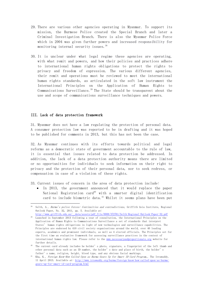- 29. There are various other agencies operating in Myanmar. To support its mission, the Burmese Police created the Special Branch and later a Criminal Investigation Branch. There is also the Myanmar Police Force which in 2004 was given further powers and increased responsibility for monitoring internal security issues.<sup>38</sup>
- 30. It is unclear under what legal regime these agencies are operating, with what remit and powers, and how their policies and practices adhere to international human rights obligations to protect the rights to privacy and freedom of expression. The various different agencies, their remit and operations must be reviewed to meet the international human rights standards, as articulated in the soft law instrument the International Principles on the Application of Human Rights to Communications Surveillance.<sup>39</sup> The State should be transparent about the use and scope of communications surveillance techniques and powers.

## III. Lack of data protection framework

<u>.</u>

31. Myanmar does not have a law regulating the protection of personal data. A consumer protection law was reported to be in drafting and it was hoped to be published for comments in 2013, but this has not been the case.

32. As Myanmar continues with its efforts towards political and legal reforms as a democratic state of government accountable to the rule of law, it is essential that issues related to data protection be addressed. In addition, the lack of a data protection authority means there are limited or no opportunities for individuals to seek information on their right to privacy and the protection of their personal data, nor to seek redress, or compensation in case of a violation of these rights.

33. Current issues of concern in the area of data protection include:

 In 2013, the government announced that it would replace the paper National Registration card<sup>40</sup> with a smarter digital identification card to include biometric data.<sup>41</sup> Whilst it seems plans have been put

<sup>&</sup>lt;sup>38</sup> Selth, A., *Burma's police forces: Continuities and contradictions*, Griffith Asia Institute, Regional Outlook Paper, No. 32, 2011, pp. 5. Available at: [http://www.griffith.edu.au/\\_\\_data/assets/pdf\\_file/0008/372761/Selth-Regional-Outlook-Paper-32.pdf](http://www.griffith.edu.au/__data/assets/pdf_file/0008/372761/Selth-Regional-Outlook-Paper-32.pdf)

<sup>39</sup> Launched in September 2013 following a year of consultation, the International Principles on the Application of Human Rights to Communications Surveillance a set of standards that interpret States' human rights obligations in light of new technologies and surveillance capabilities. The Principles are endorsed by 410 civil society organisations around the world, over 40 leading experts, academics and prominent individuals, as well as 4 elected officials. The Principles set for the first time an evaluative framework for assessing surveillance practices in the context of international human rights law. Please refer to the [www.necessaryandproportionate.org](http://www.necessaryandproportionate.org/) website for further details.

<sup>&</sup>lt;sup>40</sup> The current card already includes he holder's photo, signature, a fingerprint of the left thumb and other personal data such as an ID number, the holder's date and place of birth, the holder's father's name, religion, height, blood type, and any obvious facial markings.

<sup>&</sup>lt;sup>41</sup> Kha, K., *Foreign Know-How Called Upon as Burma Gears Up for Smart ID Card Program*,, The Irrawaddy, 11 April 2013. Available at: [http://www.irrawaddy.org/burma/foreign-know-how-called-upon-as-burma](http://www.irrawaddy.org/burma/foreign-know-how-called-upon-as-burma-gears-up-for-smart-id-card-program.html)[gears-up-for-smart-id-card-program.html](http://www.irrawaddy.org/burma/foreign-know-how-called-upon-as-burma-gears-up-for-smart-id-card-program.html)